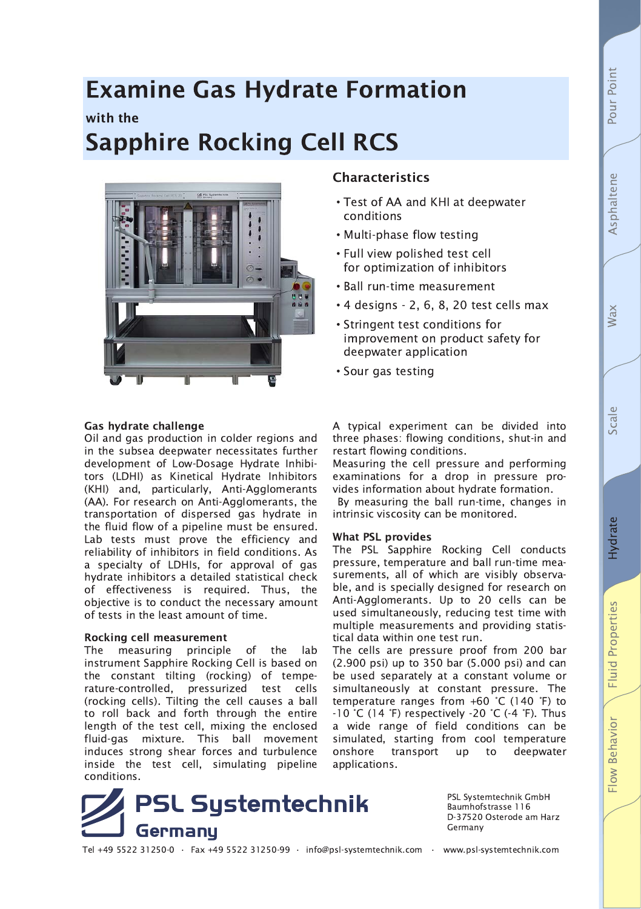# **Fluid Properties** Flow Behavior

## **Examine Gas Hydrate Formation** with the **Sapphire Rocking Cell RCS**



## Gas hydrate challenge

Oil and gas production in colder regions and in the subsea deepwater necessitates further development of Low-Dosage Hydrate Inhibitors (LDHI) as Kinetical Hydrate Inhibitors (KHI) and, particularly, Anti-Agglomerants (AA). For research on Anti-Agglomerants, the transportation of dispersed gas hydrate in the fluid flow of a pipeline must be ensured. Lab tests must prove the efficiency and reliability of inhibitors in field conditions. As a specialty of LDHIs, for approval of gas hydrate inhibitors a detailed statistical check of effectiveness is required. Thus, the objective is to conduct the necessary amount of tests in the least amount of time.

## **Rocking cell measurement**

The measuring principle of the lab instrument Sapphire Rocking Cell is based on the constant tilting (rocking) of temperature-controlled, pressurized test cells (rocking cells). Tilting the cell causes a ball to roll back and forth through the entire length of the test cell, mixing the enclosed fluid-gas mixture. This ball movement induces strong shear forces and turbulence inside the test cell, simulating pipeline conditions.

# **PSL Systemtechnik** Germany

PSL Systemtechnik GmbH Baumhofstrasse 116 D-37520 Osterode am Harz Germany

Tel +49 5522 31250-0 · Fax +49 5522 31250-99 · info@psl-systemtechnik.com · www.psl-systemtechnik.com

A typical experiment can be divided into three phases: flowing conditions, shut-in and restart flowing conditions.

Measuring the cell pressure and performing examinations for a drop in pressure provides information about hydrate formation.

By measuring the ball run-time, changes in intrinsic viscosity can be monitored.

## **What PSL provides**

**Characteristics** 

conditions

• Test of AA and KHI at deepwater

• 4 designs - 2, 6, 8, 20 test cells max

improvement on product safety for

• Stringent test conditions for

deepwater application

• Sour gas testing

• Multi-phase flow testing . Full view polished test cell for optimization of inhibitors • Ball run-time measurement

The PSL Sapphire Rocking Cell conducts pressure, temperature and ball run-time measurements, all of which are visibly observable, and is specially designed for research on Anti-Agglomerants. Up to 20 cells can be used simultaneously, reducing test time with multiple measurements and providing statistical data within one test run.

The cells are pressure proof from 200 bar (2.900 psi) up to 350 bar (5.000 psi) and can be used separately at a constant volume or simultaneously at constant pressure. The temperature ranges from  $+60$  °C (140 °F) to  $-10$  °C (14 °F) respectively  $-20$  °C (-4 °F). Thus a wide range of field conditions can be simulated, starting from cool temperature transport onshore **up** to deepwater applications.